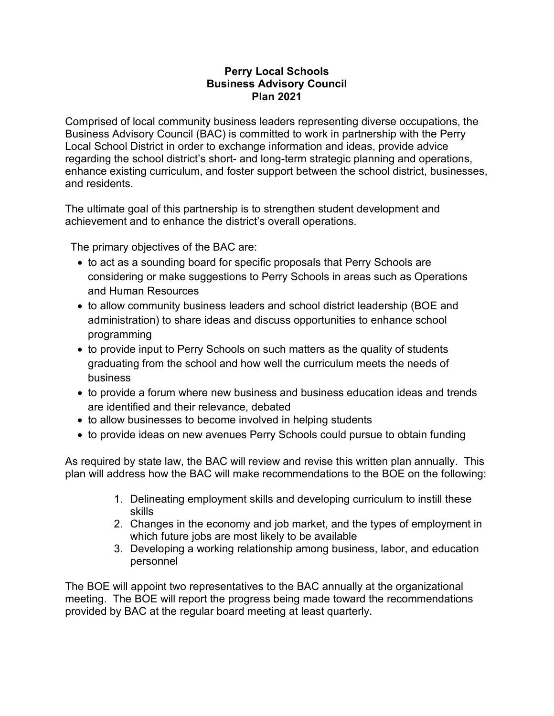## **Perry Local Schools Business Advisory Council Plan 2021**

Comprised of local community business leaders representing diverse occupations, the Business Advisory Council (BAC) is committed to work in partnership with the Perry Local School District in order to exchange information and ideas, provide advice regarding the school district's short- and long-term strategic planning and operations, enhance existing curriculum, and foster support between the school district, businesses, and residents.

The ultimate goal of this partnership is to strengthen student development and achievement and to enhance the district's overall operations.

The primary objectives of the BAC are:

- to act as a sounding board for specific proposals that Perry Schools are considering or make suggestions to Perry Schools in areas such as Operations and Human Resources
- to allow community business leaders and school district leadership (BOE and administration) to share ideas and discuss opportunities to enhance school programming
- to provide input to Perry Schools on such matters as the quality of students graduating from the school and how well the curriculum meets the needs of business
- to provide a forum where new business and business education ideas and trends are identified and their relevance, debated
- to allow businesses to become involved in helping students
- to provide ideas on new avenues Perry Schools could pursue to obtain funding

As required by state law, the BAC will review and revise this written plan annually. This plan will address how the BAC will make recommendations to the BOE on the following:

- 1. Delineating employment skills and developing curriculum to instill these skills
- 2. Changes in the economy and job market, and the types of employment in which future jobs are most likely to be available
- 3. Developing a working relationship among business, labor, and education personnel

The BOE will appoint two representatives to the BAC annually at the organizational meeting. The BOE will report the progress being made toward the recommendations provided by BAC at the regular board meeting at least quarterly.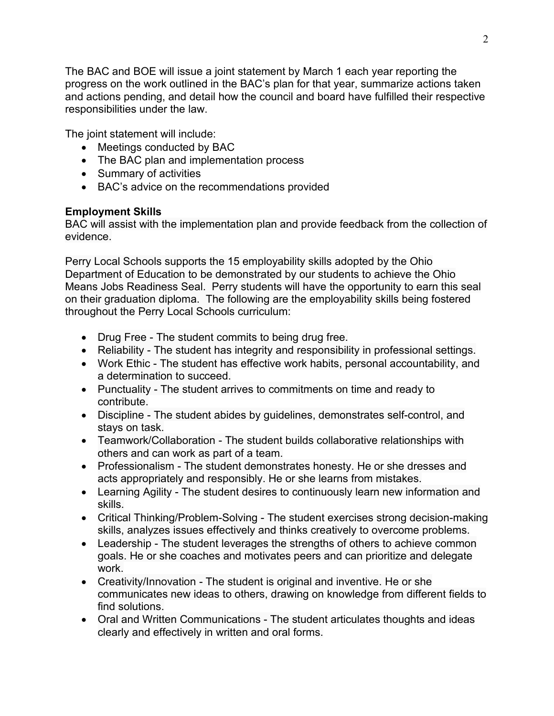The BAC and BOE will issue a joint statement by March 1 each year reporting the progress on the work outlined in the BAC's plan for that year, summarize actions taken and actions pending, and detail how the council and board have fulfilled their respective responsibilities under the law.

The joint statement will include:

- Meetings conducted by BAC
- The BAC plan and implementation process
- Summary of activities
- BAC's advice on the recommendations provided

## **Employment Skills**

BAC will assist with the implementation plan and provide feedback from the collection of evidence.

Perry Local Schools supports the 15 employability skills adopted by the Ohio Department of Education to be demonstrated by our students to achieve the Ohio Means Jobs Readiness Seal. Perry students will have the opportunity to earn this seal on their graduation diploma. The following are the employability skills being fostered throughout the Perry Local Schools curriculum:

- Drug Free The student commits to being drug free.
- Reliability The student has integrity and responsibility in professional settings.
- Work Ethic The student has effective work habits, personal accountability, and a determination to succeed.
- Punctuality The student arrives to commitments on time and ready to contribute.
- Discipline The student abides by guidelines, demonstrates self-control, and stays on task.
- Teamwork/Collaboration The student builds collaborative relationships with others and can work as part of a team.
- Professionalism The student demonstrates honesty. He or she dresses and acts appropriately and responsibly. He or she learns from mistakes.
- Learning Agility The student desires to continuously learn new information and skills.
- Critical Thinking/Problem-Solving The student exercises strong decision-making skills, analyzes issues effectively and thinks creatively to overcome problems.
- Leadership The student leverages the strengths of others to achieve common goals. He or she coaches and motivates peers and can prioritize and delegate work.
- Creativity/Innovation The student is original and inventive. He or she communicates new ideas to others, drawing on knowledge from different fields to find solutions.
- Oral and Written Communications The student articulates thoughts and ideas clearly and effectively in written and oral forms.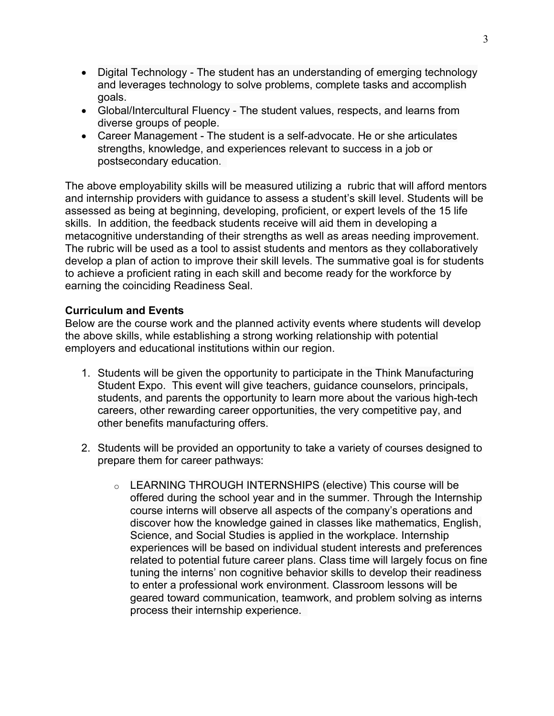- Digital Technology The student has an understanding of emerging technology and leverages technology to solve problems, complete tasks and accomplish goals.
- Global/Intercultural Fluency The student values, respects, and learns from diverse groups of people.
- Career Management The student is a self-advocate. He or she articulates strengths, knowledge, and experiences relevant to success in a job or postsecondary education.

The above employability skills will be measured utilizing a [rubric](http://education.ohio.gov/getattachment/Topics/New-Skills-for-Youth/SuccessBound/OhioMeansJobs-Readiness-Seal/OMJ_ReadinessSeal_Rubric.pdf.aspx?lang=en-US) that will afford mentors and internship providers with guidance to assess a student's skill level. Students will be assessed as being at beginning, developing, proficient, or expert levels of the 15 life skills. In addition, the feedback students receive will aid them in developing a metacognitive understanding of their strengths as well as areas needing improvement. The rubric will be used as a tool to assist students and mentors as they collaboratively develop a plan of action to improve their skill levels. The summative goal is for students to achieve a proficient rating in each skill and become ready for the workforce by earning the coinciding Readiness Seal.

## **Curriculum and Events**

Below are the course work and the planned activity events where students will develop the above skills, while establishing a strong working relationship with potential employers and educational institutions within our region.

- 1. Students will be given the opportunity to participate in the Think Manufacturing Student Expo. This event will give teachers, guidance counselors, principals, students, and parents the opportunity to learn more about the various high-tech careers, other rewarding career opportunities, the very competitive pay, and other benefits manufacturing offers.
- 2. Students will be provided an opportunity to take a variety of courses designed to prepare them for career pathways:
	- o LEARNING THROUGH INTERNSHIPS (elective) This course will be offered during the school year and in the summer. Through the Internship course interns will observe all aspects of the company's operations and discover how the knowledge gained in classes like mathematics, English, Science, and Social Studies is applied in the workplace. Internship experiences will be based on individual student interests and preferences related to potential future career plans. Class time will largely focus on fine tuning the interns' non cognitive behavior skills to develop their readiness to enter a professional work environment. Classroom lessons will be geared toward communication, teamwork, and problem solving as interns process their internship experience.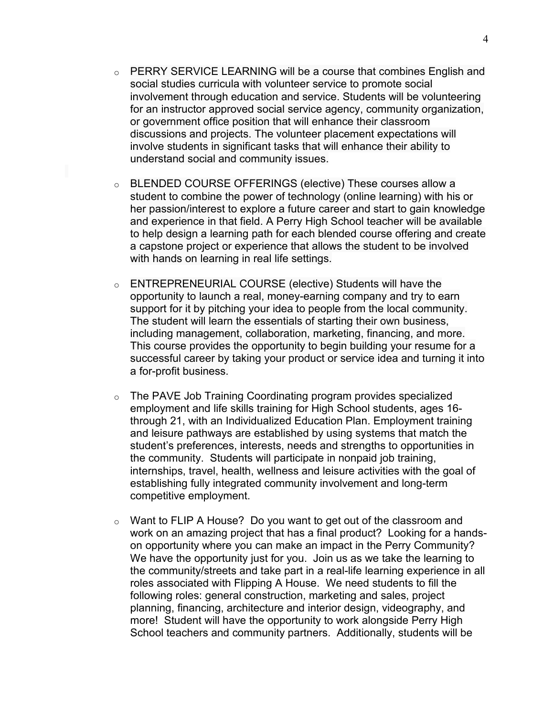- o PERRY SERVICE LEARNING will be a course that combines English and social studies curricula with volunteer service to promote social involvement through education and service. Students will be volunteering for an instructor approved social service agency, community organization, or government office position that will enhance their classroom discussions and projects. The volunteer placement expectations will involve students in significant tasks that will enhance their ability to understand social and community issues.
- o BLENDED COURSE OFFERINGS (elective) These courses allow a student to combine the power of technology (online learning) with his or her passion/interest to explore a future career and start to gain knowledge and experience in that field. A Perry High School teacher will be available to help design a learning path for each blended course offering and create a capstone project or experience that allows the student to be involved with hands on learning in real life settings.
- o ENTREPRENEURIAL COURSE (elective) Students will have the opportunity to launch a real, money-earning company and try to earn support for it by pitching your idea to people from the local community. The student will learn the essentials of starting their own business, including management, collaboration, marketing, financing, and more. This course provides the opportunity to begin building your resume for a successful career by taking your product or service idea and turning it into a for-profit business.
- o The PAVE Job Training Coordinating program provides specialized employment and life skills training for High School students, ages 16 through 21, with an Individualized Education Plan. Employment training and leisure pathways are established by using systems that match the student's preferences, interests, needs and strengths to opportunities in the community. Students will participate in nonpaid job training, internships, travel, health, wellness and leisure activities with the goal of establishing fully integrated community involvement and long-term competitive employment.
- $\circ$  Want to FLIP A House? Do you want to get out of the classroom and work on an amazing project that has a final product? Looking for a handson opportunity where you can make an impact in the Perry Community? We have the opportunity just for you. Join us as we take the learning to the community/streets and take part in a real-life learning experience in all roles associated with Flipping A House. We need students to fill the following roles: general construction, marketing and sales, project planning, financing, architecture and interior design, videography, and more! Student will have the opportunity to work alongside Perry High School teachers and community partners. Additionally, students will be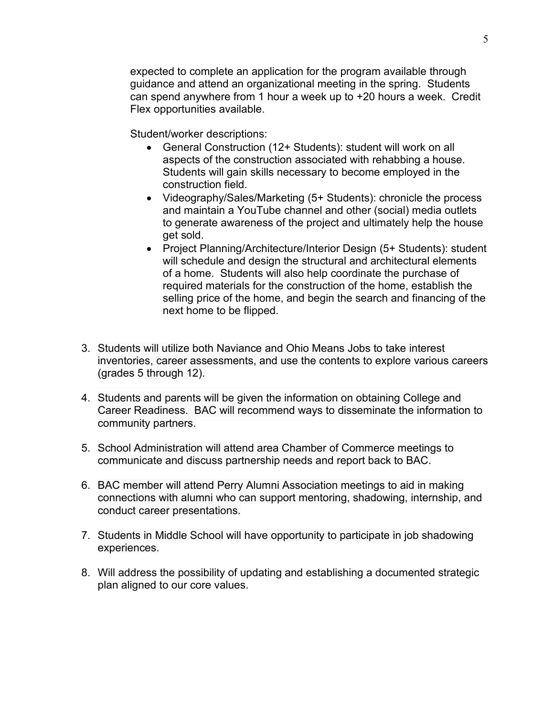expected to complete an application for the program available through guidance and attend an organizational meeting in the spring. Students can spend anywhere from 1 hour a week up to +20 hours a week. Credit Flex opportunities available.

Student/worker descriptions:

- General Construction (12+ Students): student will work on all aspects of the construction associated with rehabbing a house. Students will gain skills necessary to become employed in the construction field.
- Videography/Sales/Marketing (5+ Students): chronicle the process and maintain a YouTube channel and other (social) media outlets to generate awareness of the project and ultimately help the house get sold.
- Project Planning/Architecture/Interior Design (5+ Students): student will schedule and design the structural and architectural elements of a home. Students will also help coordinate the purchase of required materials for the construction of the home, establish the selling price of the home, and begin the search and financing of the next home to be flipped.
- 3. Students will utilize both Naviance and Ohio Means Jobs to take interest inventories, career assessments, and use the contents to explore various careers (grades 5 through 12).
- 4. Students and parents will be given the information on obtaining College and Career Readiness. BAC will recommend ways to disseminate the information to community partners.
- 5. School Administration will attend area Chamber of Commerce meetings to communicate and discuss partnership needs and report back to BAC.
- 6. BAC member will attend Perry Alumni Association meetings to aid in making connections with alumni who can support mentoring, shadowing, internship, and conduct career presentations.
- 7. Students in Middle School will have opportunity to participate in job shadowing experiences.
- 8. Will address the possibility of updating and establishing a documented strategic plan aligned to our core values.